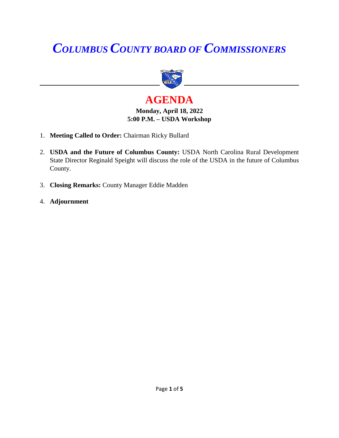# *COLUMBUS COUNTY BOARD OF COMMISSIONERS*



## **AGENDA**

#### **Monday, April 18, 2022 5:00 P.M. – USDA Workshop**

- 1. **Meeting Called to Order:** Chairman Ricky Bullard
- 2. **USDA and the Future of Columbus County:** USDA North Carolina Rural Development State Director Reginald Speight will discuss the role of the USDA in the future of Columbus County.
- 3. **Closing Remarks:** County Manager Eddie Madden
- 4. **Adjournment**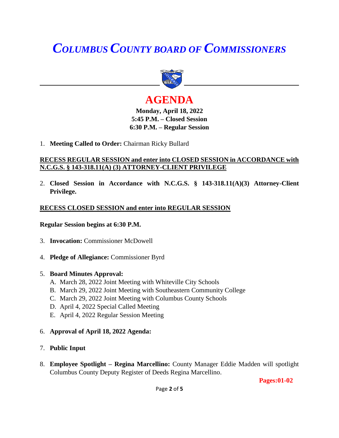## *COLUMBUS COUNTY BOARD OF COMMISSIONERS*



## **AGENDA**

**Monday, April 18, 2022 5:45 P.M. – Closed Session 6:30 P.M. – Regular Session**

1. **Meeting Called to Order:** Chairman Ricky Bullard

#### **RECESS REGULAR SESSION and enter into CLOSED SESSION in ACCORDANCE with N.C.G.S. § 143-318.11(A) (3) ATTORNEY-CLIENT PRIVILEGE**

2. **Closed Session in Accordance with N.C.G.S. § 143-318.11(A)(3) Attorney-Client Privilege.**

#### **RECESS CLOSED SESSION and enter into REGULAR SESSION**

#### **Regular Session begins at 6:30 P.M.**

- 3. **Invocation:** Commissioner McDowell
- 4. **Pledge of Allegiance:** Commissioner Byrd
- 5. **Board Minutes Approval:**
	- A. March 28, 2022 Joint Meeting with Whiteville City Schools
	- B. March 29, 2022 Joint Meeting with Southeastern Community College
	- C. March 29, 2022 Joint Meeting with Columbus County Schools
	- D. April 4, 2022 Special Called Meeting
	- E. April 4, 2022 Regular Session Meeting
- 6. **Approval of April 18, 2022 Agenda:**
- 7. **Public Input**
- 8. **Employee Spotlight – Regina Marcellino:** County Manager Eddie Madden will spotlight Columbus County Deputy Register of Deeds Regina Marcellino.

**Pages:01-02**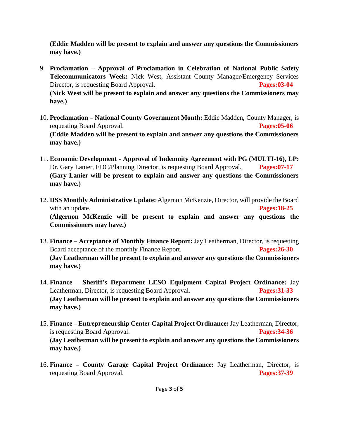**(Eddie Madden will be present to explain and answer any questions the Commissioners may have.)**

- 9. **Proclamation – Approval of Proclamation in Celebration of National Public Safety Telecommunicators Week:** Nick West, Assistant County Manager/Emergency Services Director, is requesting Board Approval. **Pages:03-04 (Nick West will be present to explain and answer any questions the Commissioners may have.)**
- 10. **Proclamation – National County Government Month:** Eddie Madden, County Manager, is requesting Board Approval. **Pages:05-06 (Eddie Madden will be present to explain and answer any questions the Commissioners may have.)**
- 11. **Economic Development - Approval of Indemnity Agreement with PG (MULTI-16), LP:**  Dr. Gary Lanier, EDC/Planning Director, is requesting Board Approval. **Pages:07-17 (Gary Lanier will be present to explain and answer any questions the Commissioners may have.)**
- 12. **DSS Monthly Administrative Update:** Algernon McKenzie, Director, will provide the Board with an update. **Pages:18-25 (Algernon McKenzie will be present to explain and answer any questions the Commissioners may have.)**
- 13. **Finance – Acceptance of Monthly Finance Report:** Jay Leatherman, Director, is requesting Board acceptance of the monthly Finance Report. **Pages:26-30 (Jay Leatherman will be present to explain and answer any questions the Commissioners may have.)**
- 14. **Finance – Sheriff's Department LESO Equipment Capital Project Ordinance:** Jay Leatherman, Director, is requesting Board Approval. **Pages:31-33 (Jay Leatherman will be present to explain and answer any questions the Commissioners may have.)**
- 15. **Finance – Entrepreneurship Center Capital Project Ordinance:** Jay Leatherman, Director, is requesting Board Approval. **Pages:34-36 (Jay Leatherman will be present to explain and answer any questions the Commissioners may have.)**
- 16. **Finance – County Garage Capital Project Ordinance:** Jay Leatherman, Director, is requesting Board Approval. **Pages:37-39**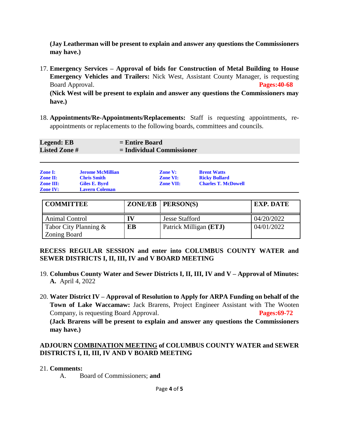**(Jay Leatherman will be present to explain and answer any questions the Commissioners may have.)**

17. **Emergency Services – Approval of bids for Construction of Metal Building to House Emergency Vehicles and Trailers:** Nick West, Assistant County Manager, is requesting Board Approval. **Pages:40-68**

**(Nick West will be present to explain and answer any questions the Commissioners may have.)**

18. **Appointments/Re-Appointments/Replacements:** Staff is requesting appointments, reappointments or replacements to the following boards, committees and councils.

| <b>Legend: EB</b>   | $=$ Entire Board            |
|---------------------|-----------------------------|
| <b>Listed Zone#</b> | $=$ Individual Commissioner |
|                     |                             |

| <b>Zone I:</b>   | <b>Jerome McMillian</b> | <b>Zone V:</b>   | <b>Brent Watts</b>         |
|------------------|-------------------------|------------------|----------------------------|
| <b>Zone II:</b>  | <b>Chris Smith</b>      | <b>Zone VI:</b>  | <b>Ricky Bullard</b>       |
| <b>Zone III:</b> | Giles E. Byrd           | <b>Zone VII:</b> | <b>Charles T. McDowell</b> |
| <b>Zone IV:</b>  | <b>Lavern Coleman</b>   |                  |                            |

| <b>COMMITTEE</b>      |    | $ZONE/EB$   $PERSON(S)$ | <b>EXP. DATE</b> |
|-----------------------|----|-------------------------|------------------|
| Animal Control        |    | <b>Jesse Stafford</b>   | 04/20/2022       |
| Tabor City Planning & | EB | Patrick Milligan (ETJ)  | 04/01/2022       |
| Zoning Board          |    |                         |                  |

#### **RECESS REGULAR SESSION and enter into COLUMBUS COUNTY WATER and SEWER DISTRICTS I, II, III, IV and V BOARD MEETING**

- 19. **Columbus County Water and Sewer Districts I, II, III, IV and V – Approval of Minutes: A.** April 4, 2022
- 20. **Water District IV – Approval of Resolution to Apply for ARPA Funding on behalf of the Town of Lake Waccamaw:** Jack Brarens, Project Engineer Assistant with The Wooten Company, is requesting Board Approval. **Pages:69-72 (Jack Brarens will be present to explain and answer any questions the Commissioners may have.)**

#### **ADJOURN COMBINATION MEETING of COLUMBUS COUNTY WATER and SEWER DISTRICTS I, II, III, IV AND V BOARD MEETING**

#### 21. **Comments:**

A. Board of Commissioners; **and**